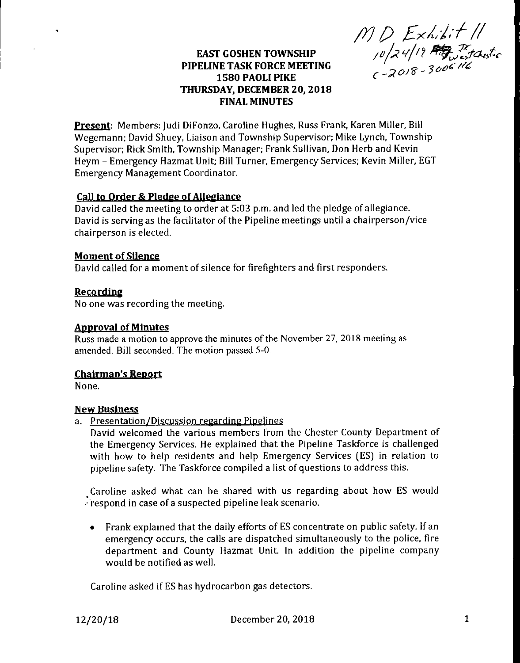*/VP Exll-f'//* **EAST GOSHEN TOWNSHIP** */Ohi* **y/7**

# **PIPELINE TASK FORCE MEETING** *n r 3o^//^* **<sup>1580</sup> PAOLI PIKE** *c-2°/v '* **THURSDAY, DECEMBER 20, 2018 FINAL MINUTES**

**Present:** Members: Judi DiFonzo, Caroline Hughes, Russ Frank, Karen Miller, Bill Wegemann; David Shuey, Liaison and Township Supervisor; Mike Lynch, Township Supervisor; Rick Smith, Township Manager; Frank Sullivan, Don Herb and Kevin Heym - Emergency Hazmat Unit; Bill Turner, Emergency Services; Kevin Miller, EGT Emergency Management Coordinator.

# **Call to Order & Pledge ofAllegiance**

David called the meeting to order at 5:03 p.m. and led the pledge of allegiance. David is serving as the facilitator of the Pipeline meetings until a chairperson/vice chairperson is elected.

# **Moment of Silence**

David called for a moment of silence for firefighters and first responders.

# **Recording**

No one was recording the meeting.

### **Approval of Minutes**

Russ made a motion to approve the minutes of the November 27, 2018 meeting as amended. Bill seconded. The motion passed 5-0.

#### **Chairman's Report**

None.

#### **New Business**

a. Presentation/Discussion regarding Pipelines

David welcomed the various members from the Chester County Department of the Emergency Services. He explained that the Pipeline Taskforce is challenged with how to help residents and help Emergency Services (ES) in relation to pipeline safety. The Taskforce compiled a list of questions to address this.

Caroline asked what can be shared with us regarding about how ES would Frespond in case of a suspected pipeline leak scenario.

• Frank explained that the daily efforts of ES concentrate on public safety. If an emergency occurs, the calls are dispatched simultaneously to the police, fire department and County Hazmat Unit. In addition the pipeline company would be notified as well.

Caroline asked if ES has hydrocarbon gas detectors.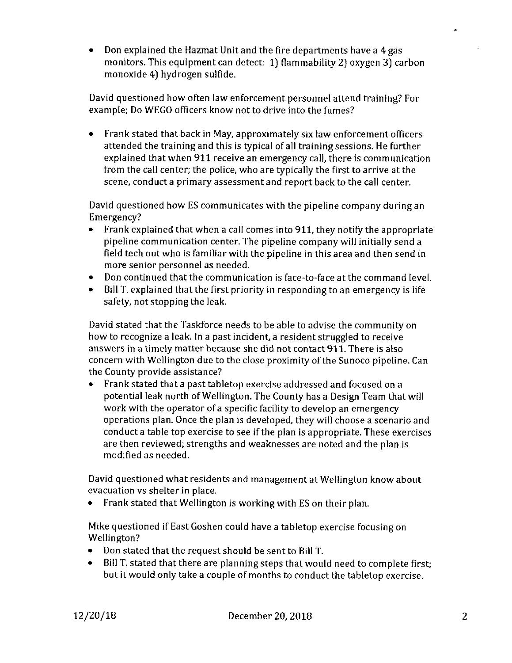• Don explained the Hazmat Unit and the fire departments have a 4 gas monitors. This equipment can detect; 1) flammability 2) oxygen 3) carbon monoxide 4) hydrogen sulfide.

David questioned how often law enforcement personnel attend training? For example; Do WEGO officers know not to drive into the fumes?

• Frank stated that back in May, approximately six law enforcement officers attended the training and this is typical of all training sessions. He further explained that when 911 receive an emergency call, there is communication from the call center; the police, who are typically the first to arrive at the scene, conduct a primary assessment and report back to the call center.

David questioned how ES communicates with the pipeline company during an Emergency?

- Frank explained that when a call comes into 911, they notify the appropriate pipeline communication center. The pipeline company will initially send a field tech out who is familiar with the pipeline in this area and then send in more senior personnel as needed.
- Don continued that the communication is face-to-face at the command level.
- Bill T. explained that the first priority in responding to an emergency is life safety, not stopping the leak.

David stated that the Taskforce needs to be able to advise the community on how to recognize a leak. In a past incident, a resident struggled to receive answers in a timely matter because she did not contact 911. There is also concern with Wellington due to the close proximity of the Sunoco pipeline. Can the County provide assistance?

• Frank stated that a past tabletop exercise addressed and focused on a potential leak north of Wellington. The County has a Design Team that will work with the operator of a specific facility to develop an emergency operations plan. Once the plan is developed, they will choose a scenario and conduct a table top exercise to see if the plan is appropriate. These exercises are then reviewed; strengths and weaknesses are noted and the plan is modified as needed.

David questioned what residents and management at Wellington know about evacuation vs shelter in place.

• Frank stated that Wellington is working with ES on their plan.

Mike questioned if East Goshen could have a tabletop exercise focusing on Wellington?

- Don stated that the request should be sent to Bill T.
- Bill T. stated that there are planning steps that would need to complete first; but it would only take a couple of months to conduct the tabletop exercise.

×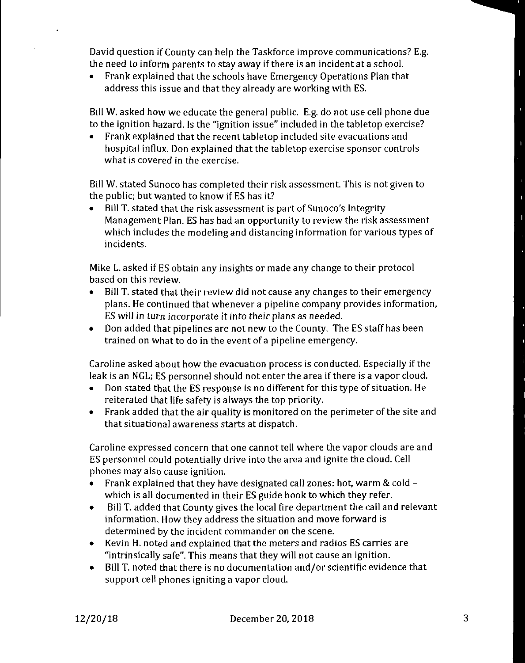David question if County can help the Taskforce improve communications? E.g. the need to inform parents to stay away if there is an incident at a school.

• Frank explained that the schools have Emergency Operations Plan that address this issue and that they already are working with ES.

Bill W. asked how we educate the general public. E.g. do not use cell phone due to the ignition hazard. Is the "ignition issue" included in the tabletop exercise?

• Frank explained that the recent tabletop included site evacuations and hospital influx. Don explained that the tabletop exercise sponsor controls what is covered in the exercise.

Bill W. stated Sunoco has completed their risk assessment. This is not given to the public; but wanted to know if ES has it?

• Bill T. stated that the risk assessment is part of Sunoco's Integrity Management Plan. ES has had an opportunity to review the risk assessment which includes the modeling and distancing information for various types of incidents.

Mike L. asked if ES obtain any insights or made any change to their protocol based on this review.

- Bill T. stated that their review did not cause any changes to their emergency plans. He continued that whenever a pipeline company provides information, ES will in turn incorporate it into their plans as needed.
- Don added that pipelines are not new to the County. The ES staff has been trained on what to do in the event of a pipeline emergency.

Caroline asked about how the evacuation process is conducted. Especially if the leak is an NGL; ES personnel should not enter the area if there is a vapor cloud.

- Don stated that the ES response is no different for this type of situation. He reiterated that life safety is always the top priority.
- Frank added that the air quality is monitored on the perimeter of the site and that situational awareness starts at dispatch.

Caroline expressed concern that one cannot tell where the vapor clouds are and ES personnel could potentially drive into the area and ignite the cloud. Cell phones may also cause ignition.

- Frank explained that they have designated call zones: hot, warm & cold which is all documented in their ES guide book to which they refer.
- Bill T. added that County gives the local fire department the call and relevant information. How they address the situation and move forward is determined by the incident commander on the scene.
- Kevin H. noted and explained that the meters and radios ES carries are "intrinsically safe". This means that they will not cause an ignition.
- Bill T. noted that there is no documentation and/or scientific evidence that support cell phones igniting a vapor cloud.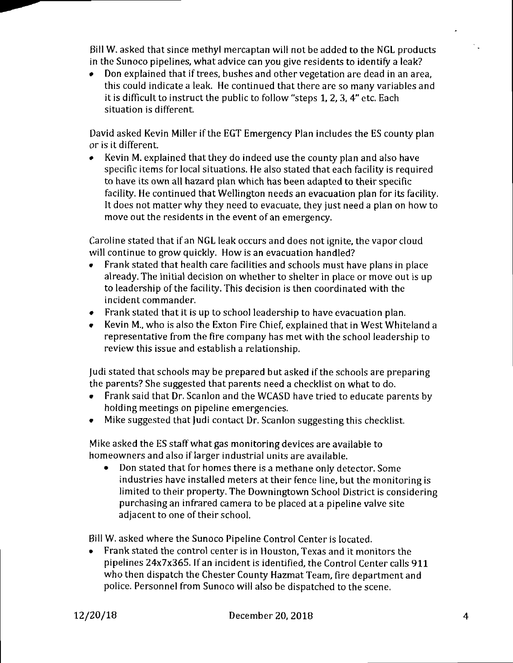Bill W. asked that since methyl mercaptan will not be added to the NGL products in the Sunoco pipelines, what advice can you give residents to identify a leak?

• Don explained that if trees, bushes and other vegetation are dead in an area, this could indicate a leak. He continued that there are so many variables and it is difficult to instruct the public to follow "steps 1, 2, 3, 4" etc. Each situation is different.

David asked Kevin Miller if the EGT Emergency Plan includes the ES county plan or is it different.

• Kevin M. explained that they do indeed use the county plan and also have specific items for local situations. He also stated that each facility is required to have its own all hazard plan which has been adapted to their specific facility. He continued that Wellington needs an evacuation plan for its facility. It does not matter why they need to evacuate, they just need a plan on how to move out the residents in the event of an emergency.

Caroline stated that if an NGL leak occurs and does not ignite, the vapor cloud will continue to grow quickly. How is an evacuation handled?

- Frank stated that health care facilities and schools must have plans in place already. The initial decision on whether to shelter in place or move out is up to leadership of the facility. This decision is then coordinated with the incident commander.
- Frank stated that it is up to school leadership to have evacuation plan.
- Kevin M., who is also the Exton Fire Chief, explained that in West Whiteland a representative from the fire company has met with the school leadership to review this issue and establish a relationship.

judi stated thatschools may be prepared but asked ifthe schools are preparing the parents? She suggested that parents need a checklist on what to do.

- Frank said that Dr. Scanlon and the WCASD have tried to educate parents by holding meetings on pipeline emergencies.
- Mike suggested that Judi contact Dr. Scanlon suggesting this checklist.

Mike asked the ES staffwhat gas monitoring devices are available to homeowners and also if larger industrial units are available.

• Don stated that for homes there is a methane only detector. Some industries have installed meters at their fence line, but the monitoring is limited to their property. The Downingtown School District is considering purchasing an infrared camera to be placed at a pipeline valve site adjacent to one of their school.

Bill W. asked where the Sunoco Pipeline Control Center is located.

• Frank stated the control center is in Houston, Texas and it monitors the pipelines 24x7x365. If an incident is identified, the Control Center calls 911 who then dispatch the Chester County Hazmat Team, fire department and police. Personnel from Sunoco will also be dispatched to the scene.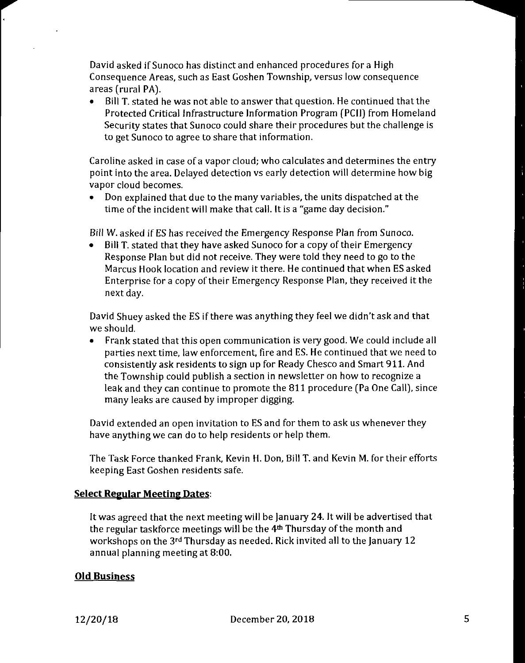David asked if Sunoco has distinct and enhanced procedures fora High Consequence Areas, such as East Goshen Township, versus low consequence areas (rural PA).

• Bill T. stated he was not able to answer that question. He continued that the Protected Critical infrastructure information Program (PCJI) from Homeland Security states that Sunoco could share their procedures but the challenge is to get Sunoco to agree to share that information.

Caroline asked in case of a vapor cloud; who calculates and determines the entry point into the area. Delayed detection vs early detection will determine how big vapor cloud becomes.

• Don explained that due to the many variables, the units dispatched at the time of the incident will make that call. It is a "game day decision."

Bill W. asked if ES has received the Emergency Response Plan from Sunoco.

• Bill T. stated that they have asked Sunoco for a copy of their Emergency Response Plan but did not receive. They were told they need to go to the Marcus Hook location and review it there. He continued that when ES asked Enterprise for a copy of their Emergency Response Plan, they received it the next day.

David Shuey asked the ES if there was anything they feel we didn't ask and that we should.

• Frank stated that this open communication is very good. We could include all parties next time, law enforcement, fire and ES. He continued that we need to consistently ask residents to sign up for Ready Chesco and Smart 911. And the Township could publish a section in newsletter on how to recognize a leak and they can continue to promote the 811 procedure (Pa One Call), since many leaks are caused by improper digging.

David extended an open invitation to ES and for them to ask us whenever they have anything we can do to help residents or help them.

The Task Force thanked Frank, Kevin H. Don, Bill T. and Kevin M. for their efforts keeping East Goshen residents safe.

# **Select Regular Meeting Dates:**

It was agreed that the next meeting will be January 24. It will be advertised that the regular taskforce meetings will be the 4<sup>th</sup> Thursday of the month and workshops on the 3rd Thursday as needed. Rick invited all to the January 12 annual planning meeting at 8:00.

# **Old Business**